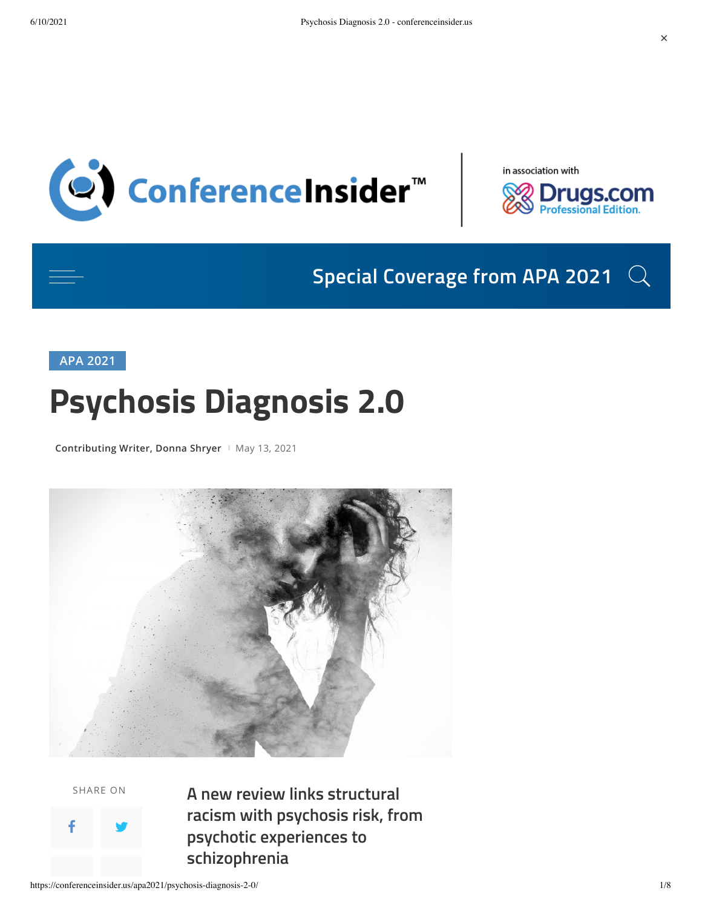

in association with



## **Special Coverage from APA 2021** m

**APA 2021**

## **Psychosis Diagnosis 2.0**

**Contributing Writer, Donna Shryer** May 13, 2021



SHARE ON



**A new review links structural racism with psychosis risk, from psychotic experiences to schizophrenia**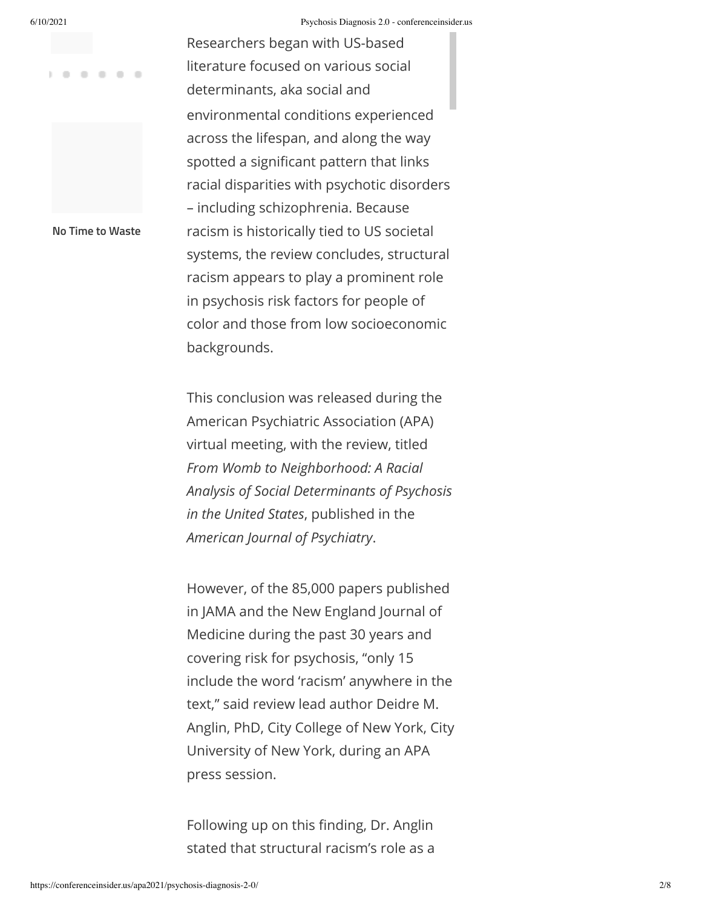

**No Time to Waste**

Researchers began with US-based literature focused on various social determinants, aka social and environmental conditions experienced across the lifespan, and along the way spotted a significant pattern that links racial disparities with psychotic disorders – including schizophrenia. Because racism is historically tied to US societal systems, the review concludes, structural racism appears to play a prominent role in psychosis risk factors for people of color and those from low socioeconomic backgrounds.

This conclusion was released during the American Psychiatric Association (APA) virtual meeting, with the review, titled *From Womb to Neighborhood: A Racial Analysis of Social Determinants of Psychosis in the United States*, published in the *American Journal of Psychiatry*.

However, of the 85,000 papers published in JAMA and the New England Journal of Medicine during the past 30 years and covering risk for psychosis, "only 15 include the word 'racism' anywhere in the text," said review lead author Deidre M. Anglin, PhD, City College of New York, City University of New York, during an APA press session.

Following up on this finding, Dr. Anglin stated that structural racism's role as a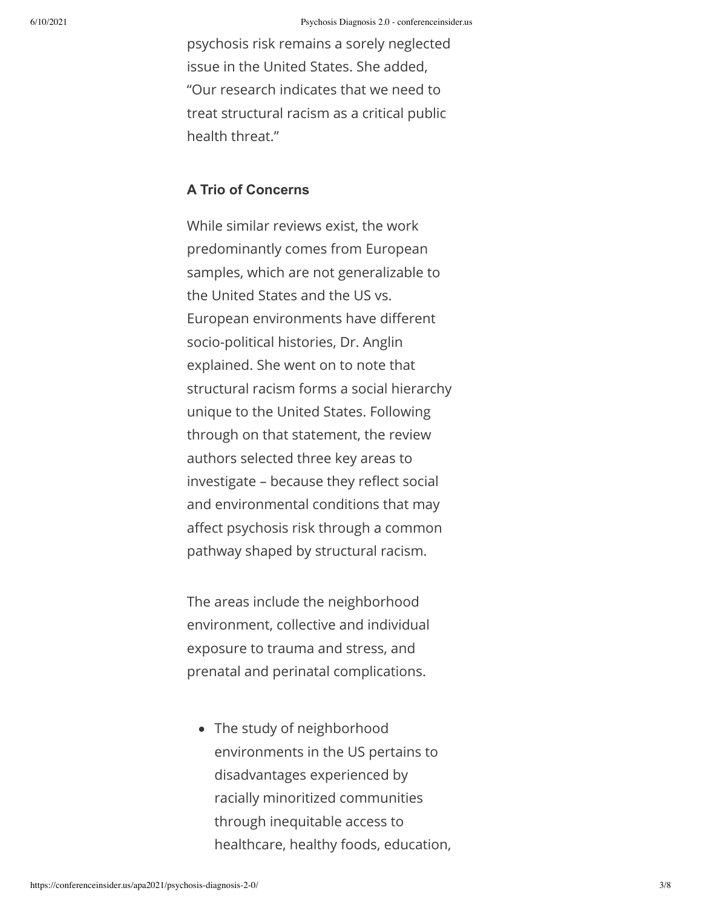psychosis risk remains a sorely neglected issue in the United States. She added, "Our research indicates that we need to treat structural racism as a critical public health threat."

## **A Trio of Concerns**

While similar reviews exist, the work predominantly comes from European samples, which are not generalizable to the United States and the US vs. European environments have different socio-political histories, Dr. Anglin explained. She went on to note that structural racism forms a social hierarchy unique to the United States. Following through on that statement, the review authors selected three key areas to investigate – because they reflect social and environmental conditions that may affect psychosis risk through a common pathway shaped by structural racism.

The areas include the neighborhood environment, collective and individual exposure to trauma and stress, and prenatal and perinatal complications.

• The study of neighborhood environments in the US pertains to disadvantages experienced by racially minoritized communities through inequitable access to healthcare, healthy foods, education,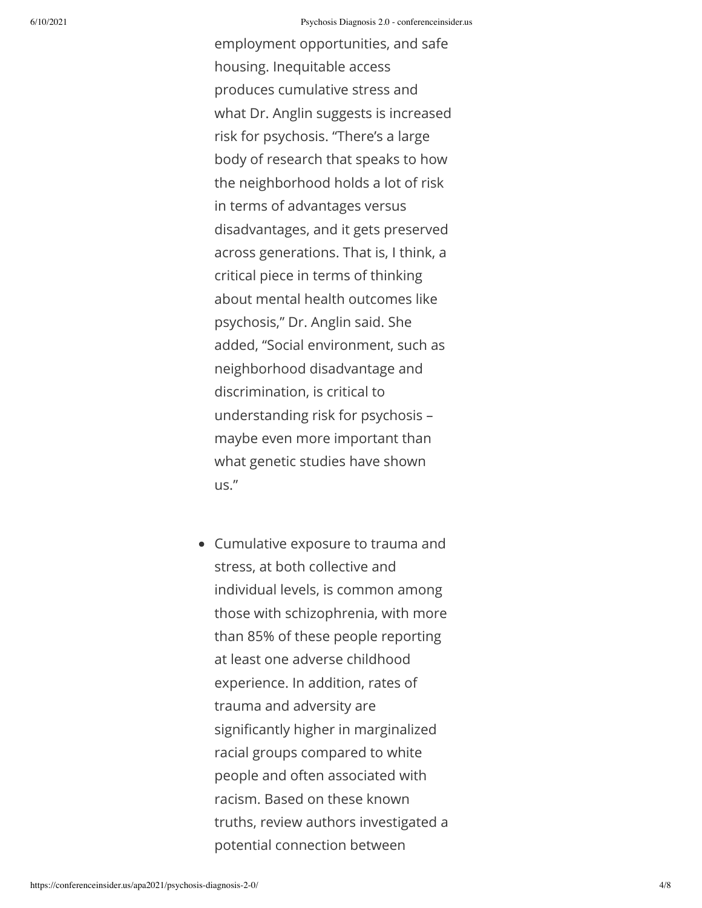employment opportunities, and safe housing. Inequitable access produces cumulative stress and what Dr. Anglin suggests is increased risk for psychosis. "There's a large body of research that speaks to how the neighborhood holds a lot of risk in terms of advantages versus disadvantages, and it gets preserved across generations. That is, I think, a critical piece in terms of thinking about mental health outcomes like psychosis," Dr. Anglin said. She added, "Social environment, such as neighborhood disadvantage and discrimination, is critical to understanding risk for psychosis – maybe even more important than what genetic studies have shown us."

Cumulative exposure to trauma and stress, at both collective and individual levels, is common among those with schizophrenia, with more than 85% of these people reporting at least one adverse childhood experience. In addition, rates of trauma and adversity are significantly higher in marginalized racial groups compared to white people and often associated with racism. Based on these known truths, review authors investigated a potential connection between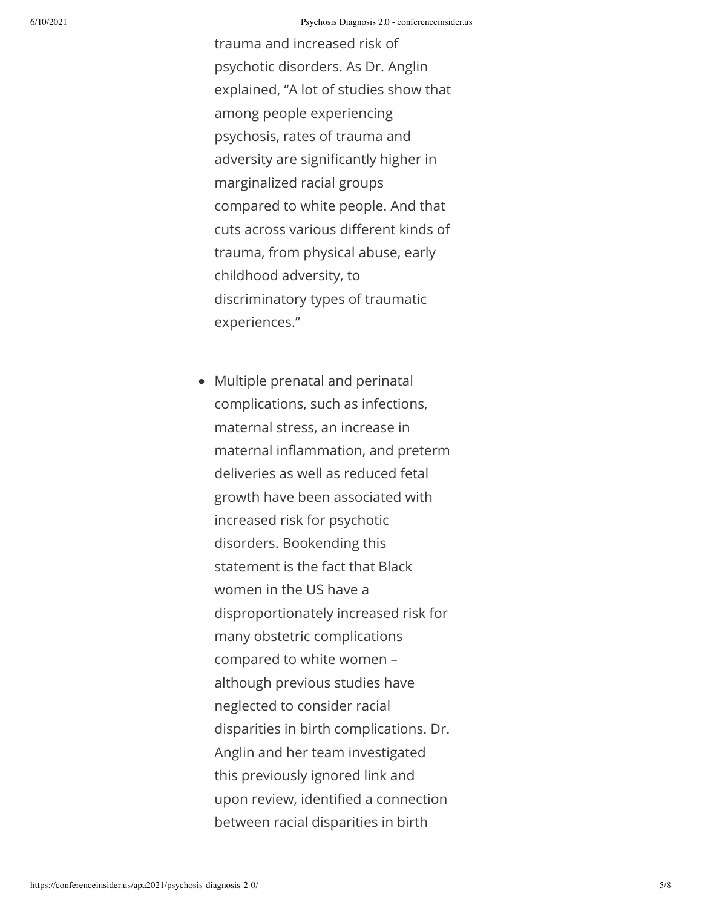trauma and increased risk of psychotic disorders. As Dr. Anglin explained, "A lot of studies show that among people experiencing psychosis, rates of trauma and adversity are significantly higher in marginalized racial groups compared to white people. And that cuts across various different kinds of trauma, from physical abuse, early childhood adversity, to discriminatory types of traumatic experiences."

Multiple prenatal and perinatal complications, such as infections, maternal stress, an increase in maternal inflammation, and preterm deliveries as well as reduced fetal growth have been associated with increased risk for psychotic disorders. Bookending this statement is the fact that Black women in the US have a disproportionately increased risk for many obstetric complications compared to white women – although previous studies have neglected to consider racial disparities in birth complications. Dr. Anglin and her team investigated this previously ignored link and upon review, identified a connection between racial disparities in birth